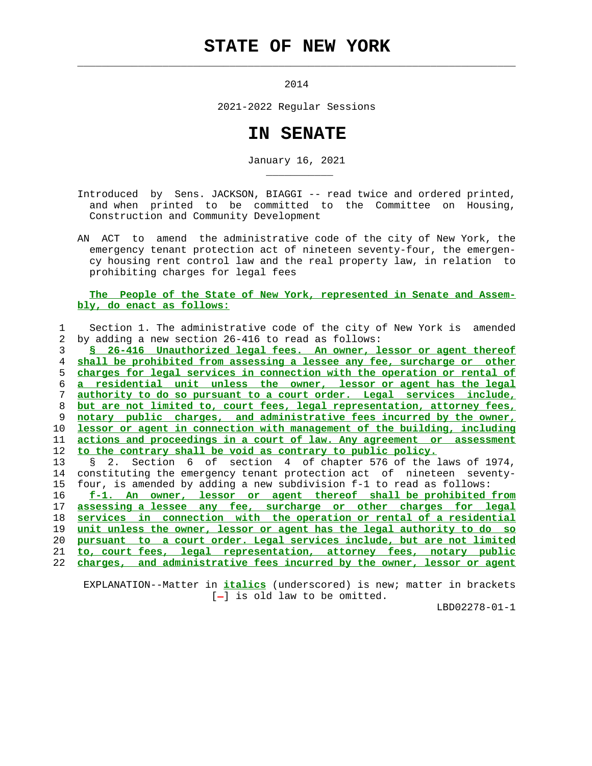## **STATE OF NEW YORK**

 $\mathcal{L}_\text{max} = \frac{1}{2} \sum_{i=1}^{n} \frac{1}{2} \sum_{i=1}^{n} \frac{1}{2} \sum_{i=1}^{n} \frac{1}{2} \sum_{i=1}^{n} \frac{1}{2} \sum_{i=1}^{n} \frac{1}{2} \sum_{i=1}^{n} \frac{1}{2} \sum_{i=1}^{n} \frac{1}{2} \sum_{i=1}^{n} \frac{1}{2} \sum_{i=1}^{n} \frac{1}{2} \sum_{i=1}^{n} \frac{1}{2} \sum_{i=1}^{n} \frac{1}{2} \sum_{i=1}^{n} \frac{1$ 

\_\_\_\_\_\_\_\_\_\_\_

2014

2021-2022 Regular Sessions

## **IN SENATE**

January 16, 2021

 Introduced by Sens. JACKSON, BIAGGI -- read twice and ordered printed, and when printed to be committed to the Committee on Housing, Construction and Community Development

 AN ACT to amend the administrative code of the city of New York, the emergency tenant protection act of nineteen seventy-four, the emergen cy housing rent control law and the real property law, in relation to prohibiting charges for legal fees

## **The People of the State of New York, represented in Senate and Assem bly, do enact as follows:**

|    | Section 1. The administrative code of the city of New York is amended                             |
|----|---------------------------------------------------------------------------------------------------|
| 2. | by adding a new section 26-416 to read as follows:                                                |
| 3  | § 26-416 Unauthorized legal fees. An owner, lessor or agent thereof                               |
| 4  | shall be prohibited from assessing a lessee any fee, surcharge or other                           |
| 5. | charges for legal services in connection with the operation or rental of                          |
| 6  | a residential unit unless the owner, lessor or agent has the legal                                |
| 7  | authority to do so pursuant to a court order. Legal services include,                             |
| 8  | but are not limited to, court fees, legal representation, attorney fees,                          |
| 9  | notary public charges, and administrative fees incurred by the owner,                             |
| 10 | lessor or agent in connection with management of the building, including                          |
| 11 | actions and proceedings in a court of law. Any agreement or assessment                            |
| 12 | to the contrary shall be void as contrary to public policy.                                       |
|    |                                                                                                   |
| 13 | Section 6 of section 4 of chapter 576 of the laws of 1974,<br>$\begin{matrix}8 & 2. \end{matrix}$ |
| 14 | constituting the emergency tenant protection act of nineteen seventy-                             |
| 15 | four, is amended by adding a new subdivision f-1 to read as follows:                              |
| 16 | f-1. An owner, lessor or agent thereof shall be prohibited from                                   |
| 17 | assessing a lessee any fee, surcharge or other charges for legal                                  |
| 18 | services in connection with the operation or rental of a residential                              |
| 19 | unit unless the owner, lessor or agent has the legal authority to do so                           |
| 20 | pursuant to a court order. Legal services include, but are not limited                            |
| 21 | to, court fees, legal representation, attorney fees, notary public                                |

 EXPLANATION--Matter in **italics** (underscored) is new; matter in brackets  $[-]$  is old law to be omitted.

LBD02278-01-1